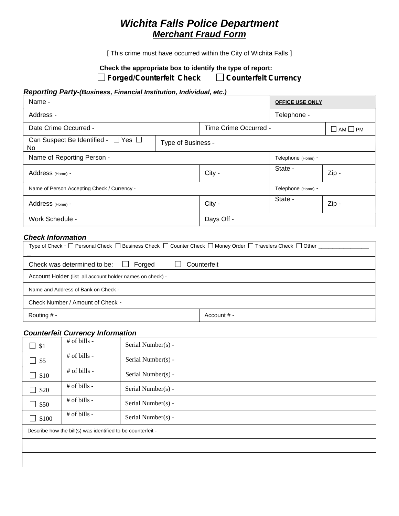# *Wichita Falls Police Department Merchant Fraud Form*

[ This crime must have occurred within the City of Wichita Falls ]

# **Check the appropriate box to identify the type of report:**

□ Forged/Counterfeit Check **DO** Counterfeit Currency

# *Reporting Party-(Business, Financial Institution, Individual, etc.)*

| Name -                                                                     |  |                       | <b>OFFICE USE ONLY</b> |                     |
|----------------------------------------------------------------------------|--|-----------------------|------------------------|---------------------|
| Address -                                                                  |  |                       | Telephone -            |                     |
| Date Crime Occurred -                                                      |  | Time Crime Occurred - |                        | $\Box$ am $\Box$ PM |
| Can Suspect Be Identified - $\Box$ Yes $\Box$<br>Type of Business -<br>No. |  |                       |                        |                     |
| Name of Reporting Person -                                                 |  |                       | Telephone (Home) -     |                     |
| Address (Home) -                                                           |  | City -                | State -                | Zip-                |
| Name of Person Accepting Check / Currency -                                |  |                       | Telephone (Home) -     |                     |
| Address (Home) -                                                           |  | City -                | State -                | Zip-                |
| Work Schedule -                                                            |  | Days Off -            |                        |                     |

# *Check Information*

| Type of Check - $\Box$ Personal Check $\Box$ Business Check $\Box$ Counter Check $\Box$ Money Order $\Box$ Travelers Check $\Box$ Other $\Box$ |               |  |  |  |
|------------------------------------------------------------------------------------------------------------------------------------------------|---------------|--|--|--|
| Forged<br>Counterfeit<br>Check was determined to be:<br>$\sim$ 1.0 $\pm$                                                                       |               |  |  |  |
| Account Holder (list all account holder names on check) -                                                                                      |               |  |  |  |
| Name and Address of Bank on Check -                                                                                                            |               |  |  |  |
| Check Number / Amount of Check -                                                                                                               |               |  |  |  |
| Routing $# -$                                                                                                                                  | Account $# -$ |  |  |  |

#### *Counterfeit Currency Information*

| $\Box$ \$1                                                  | # of bills -   | Serial Number(s) - |  |  |
|-------------------------------------------------------------|----------------|--------------------|--|--|
| $\Box$ \$5                                                  | # of bills -   | Serial Number(s) - |  |  |
| \$10<br>$\blacksquare$                                      | # of bills -   | Serial Number(s) - |  |  |
| \$20<br>×                                                   | # of bills -   | Serial Number(s) - |  |  |
| $\Box$ \$50                                                 | $#$ of bills - | Serial Number(s) - |  |  |
| \$100<br>$\blacksquare$                                     | $#$ of bills - | Serial Number(s) - |  |  |
| Describe how the bill(s) was identified to be counterfeit - |                |                    |  |  |
|                                                             |                |                    |  |  |
|                                                             |                |                    |  |  |